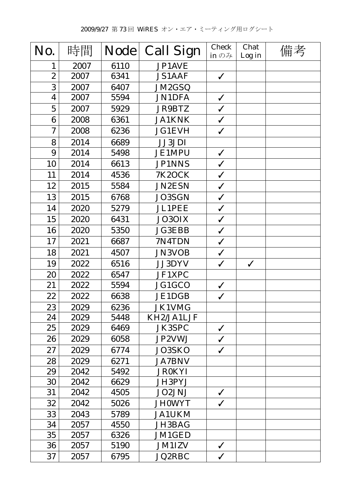| No.                     | 時間   | <b>Node</b> | <b>Call Sign</b> | <b>Check</b><br>in $\mathcal{D} \mathcal{H}$ | Chat<br>Log in | 備考 |
|-------------------------|------|-------------|------------------|----------------------------------------------|----------------|----|
| 1                       | 2007 | 6110        | JP1AVE           |                                              |                |    |
| $\overline{2}$          | 2007 | 6341        | <b>JS1AAF</b>    | $\checkmark$                                 |                |    |
| 3                       | 2007 | 6407        | JM2GSQ           |                                              |                |    |
| $\overline{\mathbf{4}}$ | 2007 | 5594        | <b>JN1DFA</b>    | $\checkmark$                                 |                |    |
| $\mathbf 5$             | 2007 | 5929        | <b>JR9BTZ</b>    | $\checkmark$                                 |                |    |
| 6                       | 2008 | 6361        | <b>JA1KNK</b>    | $\checkmark$                                 |                |    |
| $\boldsymbol{7}$        | 2008 | 6236        | <b>JG1EVH</b>    | $\checkmark$                                 |                |    |
| 8                       | 2014 | 6689        | <b>JJ3JDI</b>    |                                              |                |    |
| 9                       | 2014 | 5498        | <b>JE1MPU</b>    | $\checkmark$                                 |                |    |
| 10                      | 2014 | 6613        | <b>JP1NNS</b>    | $\checkmark$                                 |                |    |
| 11                      | 2014 | 4536        | <b>7K2OCK</b>    | $\checkmark$                                 |                |    |
| 12                      | 2015 | 5584        | <b>JN2ESN</b>    | $\checkmark$                                 |                |    |
| 13                      | 2015 | 6768        | <b>JO3SGN</b>    | $\checkmark$                                 |                |    |
| 14                      | 2020 | 5279        | <b>JL1PEE</b>    | $\checkmark$                                 |                |    |
| 15                      | 2020 | 6431        | JO3OIX           | $\checkmark$                                 |                |    |
| 16                      | 2020 | 5350        | <b>JG3EBB</b>    | $\checkmark$                                 |                |    |
| 17                      | 2021 | 6687        | 7N4TDN           | $\checkmark$                                 |                |    |
| 18                      | 2021 | 4507        | <b>JN3VOB</b>    | $\checkmark$                                 |                |    |
| 19                      | 2022 | 6516        | JJ3DYV           | $\checkmark$                                 | $\checkmark$   |    |
| 20                      | 2022 | 6547        | JF1XPC           |                                              |                |    |
| 21                      | 2022 | 5594        | JG1GCO           | $\checkmark$                                 |                |    |
| 22                      | 2022 | 6638        | JE1DGB           | $\checkmark$                                 |                |    |
| 23                      | 2029 | 6236        | JK1VMG           |                                              |                |    |
| 24                      | 2029 | 5448        | KH2/JA1LJF       |                                              |                |    |
| 25                      | 2029 | 6469        | <b>JK3SPC</b>    | $\checkmark$                                 |                |    |
| 26                      | 2029 | 6058        | JP2VWJ           | $\checkmark$                                 |                |    |
| 27                      | 2029 | 6774        | JO3SKO           | $\checkmark$                                 |                |    |
| 28                      | 2029 | 6271        | <b>JA7BNV</b>    |                                              |                |    |
| 29                      | 2042 | 5492        | <b>JR0KYI</b>    |                                              |                |    |
| 30                      | 2042 | 6629        | JH3PYJ           |                                              |                |    |
| 31                      | 2042 | 4505        | JO2JNJ           | $\checkmark$                                 |                |    |
| 32                      | 2042 | 5026        | <b>JH0WYT</b>    | $\checkmark$                                 |                |    |
| 33                      | 2043 | 5789        | <b>JA1UKM</b>    |                                              |                |    |
| 34                      | 2057 | 4550        | JH3BAG           |                                              |                |    |
| 35                      | 2057 | 6326        | JM1GED           |                                              |                |    |
| 36                      | 2057 | 5190        | <b>JM1IZV</b>    | $\checkmark$                                 |                |    |
| 37                      | 2057 | 6795        | <b>JQ2RBC</b>    | $\checkmark$                                 |                |    |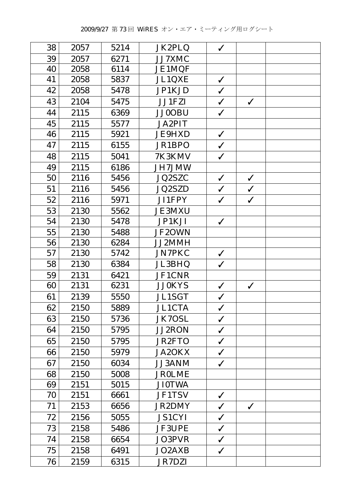| 38 | 2057 | 5214 | JK2PLQ        | $\checkmark$ |              |  |
|----|------|------|---------------|--------------|--------------|--|
| 39 | 2057 | 6271 | JJ7XMC        |              |              |  |
| 40 | 2058 | 6114 | JE1MQF        |              |              |  |
| 41 | 2058 | 5837 | JL1QXE        | $\checkmark$ |              |  |
| 42 | 2058 | 5478 | JP1KJD        | $\checkmark$ |              |  |
| 43 | 2104 | 5475 | JJ1FZI        | $\checkmark$ | $\checkmark$ |  |
| 44 | 2115 | 6369 | <b>JJ0OBU</b> | $\checkmark$ |              |  |
| 45 | 2115 | 5577 | <b>JA2PIT</b> |              |              |  |
| 46 | 2115 | 5921 | <b>JE9HXD</b> | $\checkmark$ |              |  |
| 47 | 2115 | 6155 | JR1BPO        | $\checkmark$ |              |  |
| 48 | 2115 | 5041 | 7K3KMV        | $\checkmark$ |              |  |
| 49 | 2115 | 6186 | JH7JMW        |              |              |  |
| 50 | 2116 | 5456 | JQ2SZC        | $\checkmark$ | $\checkmark$ |  |
| 51 | 2116 | 5456 | JQ2SZD        | $\checkmark$ | $\checkmark$ |  |
| 52 | 2116 | 5971 | JI1FPY        | $\checkmark$ | $\checkmark$ |  |
| 53 | 2130 | 5562 | <b>JE3MXU</b> |              |              |  |
| 54 | 2130 | 5478 | JP1KJI        | $\checkmark$ |              |  |
| 55 | 2130 | 5488 | JF2OWN        |              |              |  |
| 56 | 2130 | 6284 | JJ2MMH        |              |              |  |
| 57 | 2130 | 5742 | <b>JN7PKC</b> | $\checkmark$ |              |  |
| 58 | 2130 | 6384 | JL3BHQ        | $\checkmark$ |              |  |
| 59 | 2131 | 6421 | JF1CNR        |              |              |  |
| 60 | 2131 | 6231 | <b>JJ0KYS</b> | $\checkmark$ | $\checkmark$ |  |
| 61 | 2139 | 5550 | <b>JL1SGT</b> | $\checkmark$ |              |  |
| 62 | 2150 | 5889 | <b>JL1CTA</b> | $\checkmark$ |              |  |
| 63 | 2150 | 5736 | <b>JK7OSL</b> | $\checkmark$ |              |  |
| 64 | 2150 | 5795 | JJ2RON        | $\checkmark$ |              |  |
| 65 | 2150 | 5795 | <b>JR2FTO</b> | $\checkmark$ |              |  |
| 66 | 2150 | 5979 | <b>JA2OKX</b> | $\checkmark$ |              |  |
| 67 | 2150 | 6034 | JJ3ANM        | $\checkmark$ |              |  |
| 68 | 2150 | 5008 | <b>JROLME</b> |              |              |  |
| 69 | 2151 | 5015 | <b>JI0TWA</b> |              |              |  |
| 70 | 2151 | 6661 | <b>JF1TSV</b> | $\checkmark$ |              |  |
| 71 | 2153 | 6656 | <b>JR2DMY</b> | $\checkmark$ | $\checkmark$ |  |
| 72 | 2156 | 5055 | <b>JS1CYI</b> | $\checkmark$ |              |  |
| 73 | 2158 | 5486 | <b>JF3UPE</b> | $\checkmark$ |              |  |
| 74 | 2158 | 6654 | JO3PVR        | $\checkmark$ |              |  |
| 75 | 2158 | 6491 | JO2AXB        | $\checkmark$ |              |  |
| 76 | 2159 | 6315 | <b>JR7DZI</b> |              |              |  |